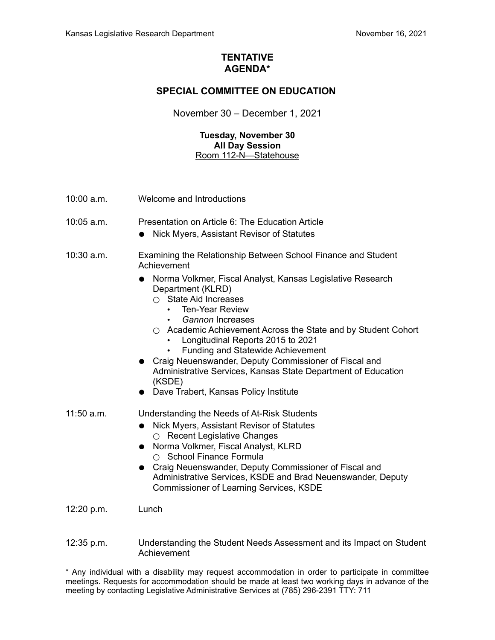### **TENTATIVE AGENDA\***

## **SPECIAL COMMITTEE ON EDUCATION**

November 30 – December 1, 2021

#### **Tuesday, November 30 All Day Session** Room 112-N—Statehouse

- 10:00 a.m. Welcome and Introductions
- 10:05 a.m. Presentation on Article 6: The Education Article
	- Nick Myers, Assistant Revisor of Statutes
- 10:30 a.m. Examining the Relationship Between School Finance and Student Achievement
	- Norma Volkmer, Fiscal Analyst, Kansas Legislative Research Department (KLRD)
		- State Aid Increases
			- Ten-Year Review
			- *Gannon* Increases
		- Academic Achievement Across the State and by Student Cohort
			- Longitudinal Reports 2015 to 2021
			- Funding and Statewide Achievement
	- Craig Neuenswander, Deputy Commissioner of Fiscal and Administrative Services, Kansas State Department of Education (KSDE)
	- Dave Trabert, Kansas Policy Institute

11:50 a.m. Understanding the Needs of At-Risk Students

- Nick Myers, Assistant Revisor of Statutes ○ Recent Legislative Changes
- Norma Volkmer, Fiscal Analyst, KLRD ○ School Finance Formula
- Craig Neuenswander, Deputy Commissioner of Fiscal and Administrative Services, KSDE and Brad Neuenswander, Deputy Commissioner of Learning Services, KSDE

12:20 p.m. Lunch

12:35 p.m. Understanding the Student Needs Assessment and its Impact on Student Achievement

\* Any individual with a disability may request accommodation in order to participate in committee meetings. Requests for accommodation should be made at least two working days in advance of the meeting by contacting Legislative Administrative Services at (785) 296-2391 TTY: 711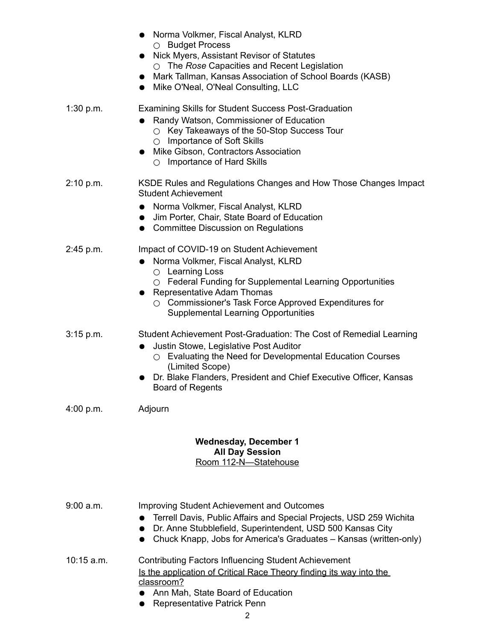|              | • Norma Volkmer, Fiscal Analyst, KLRD<br>O Budget Process<br>Nick Myers, Assistant Revisor of Statutes<br>$\bullet$<br>$\circ$ The Rose Capacities and Recent Legislation<br>Mark Tallman, Kansas Association of School Boards (KASB)<br>Mike O'Neal, O'Neal Consulting, LLC<br>$\bullet$                                                   |
|--------------|---------------------------------------------------------------------------------------------------------------------------------------------------------------------------------------------------------------------------------------------------------------------------------------------------------------------------------------------|
| 1:30 p.m.    | <b>Examining Skills for Student Success Post-Graduation</b><br>Randy Watson, Commissioner of Education<br>$\bullet$<br>$\circ$ Key Takeaways of the 50-Stop Success Tour<br>○ Importance of Soft Skills<br>Mike Gibson, Contractors Association<br>$\bullet$<br>$\circ$ Importance of Hard Skills                                           |
| 2:10 p.m.    | KSDE Rules and Regulations Changes and How Those Changes Impact<br><b>Student Achievement</b><br>Norma Volkmer, Fiscal Analyst, KLRD<br>$\bullet$<br>Jim Porter, Chair, State Board of Education<br>$\bullet$<br><b>Committee Discussion on Regulations</b><br>$\bullet$                                                                    |
| 2:45 p.m.    | Impact of COVID-19 on Student Achievement<br>Norma Volkmer, Fiscal Analyst, KLRD<br>$\bullet$<br>$\circ$ Learning Loss<br>$\circ$ Federal Funding for Supplemental Learning Opportunities<br><b>Representative Adam Thomas</b><br>$\circ$ Commissioner's Task Force Approved Expenditures for<br><b>Supplemental Learning Opportunities</b> |
| $3:15$ p.m.  | Student Achievement Post-Graduation: The Cost of Remedial Learning<br>Justin Stowe, Legislative Post Auditor<br>$\bullet$<br>$\circ$ Evaluating the Need for Developmental Education Courses<br>(Limited Scope)<br>Dr. Blake Flanders, President and Chief Executive Officer, Kansas<br><b>Board of Regents</b>                             |
| $4:00$ p.m.  | Adjourn                                                                                                                                                                                                                                                                                                                                     |
|              | <b>Wednesday, December 1</b><br><b>All Day Session</b><br>Room 112-N-Statehouse                                                                                                                                                                                                                                                             |
| 9:00 a.m.    | <b>Improving Student Achievement and Outcomes</b><br>Terrell Davis, Public Affairs and Special Projects, USD 259 Wichita<br>Dr. Anne Stubblefield, Superintendent, USD 500 Kansas City<br>Chuck Knapp, Jobs for America's Graduates - Kansas (written-only)<br>$\bullet$                                                                    |
| $10:15$ a.m. | <b>Contributing Factors Influencing Student Achievement</b><br>Is the application of Critical Race Theory finding its way into the<br>classroom?                                                                                                                                                                                            |

- Ann Mah, State Board of Education
- Representative Patrick Penn